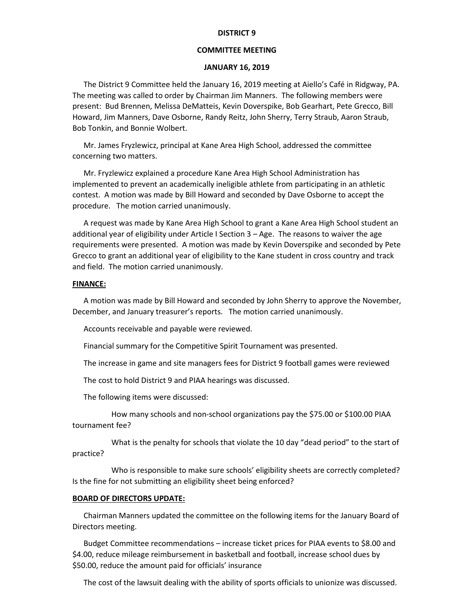## **DISTRICT 9**

## **COMMITTEE MEETING**

## **JANUARY 16, 2019**

The District 9 Committee held the January 16, 2019 meeting at Aiello's Café in Ridgway, PA. The meeting was called to order by Chairman Jim Manners. The following members were present: Bud Brennen, Melissa DeMatteis, Kevin Doverspike, Bob Gearhart, Pete Grecco, Bill Howard, Jim Manners, Dave Osborne, Randy Reitz, John Sherry, Terry Straub, Aaron Straub, Bob Tonkin, and Bonnie Wolbert.

Mr. James Fryzlewicz, principal at Kane Area High School, addressed the committee concerning two matters.

Mr. Fryzlewicz explained a procedure Kane Area High School Administration has implemented to prevent an academically ineligible athlete from participating in an athletic contest. A motion was made by Bill Howard and seconded by Dave Osborne to accept the procedure. The motion carried unanimously.

A request was made by Kane Area High School to grant a Kane Area High School student an additional year of eligibility under Article I Section 3 – Age. The reasons to waiver the age requirements were presented. A motion was made by Kevin Doverspike and seconded by Pete Grecco to grant an additional year of eligibility to the Kane student in cross country and track and field. The motion carried unanimously.

### **FINANCE:**

A motion was made by Bill Howard and seconded by John Sherry to approve the November, December, and January treasurer's reports. The motion carried unanimously.

Accounts receivable and payable were reviewed.

Financial summary for the Competitive Spirit Tournament was presented.

The increase in game and site managers fees for District 9 football games were reviewed

The cost to hold District 9 and PIAA hearings was discussed.

The following items were discussed:

How many schools and non-school organizations pay the \$75.00 or \$100.00 PIAA tournament fee?

What is the penalty for schools that violate the 10 day "dead period" to the start of practice?

Who is responsible to make sure schools' eligibility sheets are correctly completed? Is the fine for not submitting an eligibility sheet being enforced?

### **BOARD OF DIRECTORS UPDATE:**

Chairman Manners updated the committee on the following items for the January Board of Directors meeting.

Budget Committee recommendations – increase ticket prices for PIAA events to \$8.00 and \$4.00, reduce mileage reimbursement in basketball and football, increase school dues by \$50.00, reduce the amount paid for officials' insurance

The cost of the lawsuit dealing with the ability of sports officials to unionize was discussed.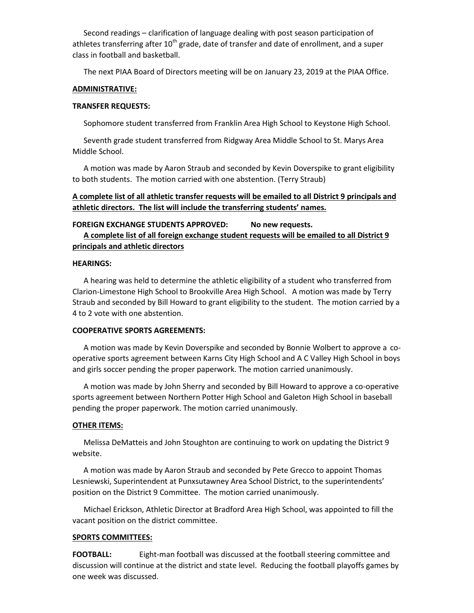Second readings – clarification of language dealing with post season participation of athletes transferring after 10<sup>th</sup> grade, date of transfer and date of enrollment, and a super class in football and basketball.

The next PIAA Board of Directors meeting will be on January 23, 2019 at the PIAA Office.

### **ADMINISTRATIVE:**

## **TRANSFER REQUESTS:**

Sophomore student transferred from Franklin Area High School to Keystone High School.

Seventh grade student transferred from Ridgway Area Middle School to St. Marys Area Middle School.

A motion was made by Aaron Straub and seconded by Kevin Doverspike to grant eligibility to both students. The motion carried with one abstention. (Terry Straub)

# **A complete list of all athletic transfer requests will be emailed to all District 9 principals and athletic directors. The list will include the transferring students' names.**

# **FOREIGN EXCHANGE STUDENTS APPROVED: No new requests. A complete list of all foreign exchange student requests will be emailed to all District 9 principals and athletic directors**

## **HEARINGS:**

A hearing was held to determine the athletic eligibility of a student who transferred from Clarion-Limestone High School to Brookville Area High School. A motion was made by Terry Straub and seconded by Bill Howard to grant eligibility to the student. The motion carried by a 4 to 2 vote with one abstention.

### **COOPERATIVE SPORTS AGREEMENTS:**

A motion was made by Kevin Doverspike and seconded by Bonnie Wolbert to approve a cooperative sports agreement between Karns City High School and A C Valley High School in boys and girls soccer pending the proper paperwork. The motion carried unanimously.

A motion was made by John Sherry and seconded by Bill Howard to approve a co-operative sports agreement between Northern Potter High School and Galeton High School in baseball pending the proper paperwork. The motion carried unanimously.

#### **OTHER ITEMS:**

Melissa DeMatteis and John Stoughton are continuing to work on updating the District 9 website.

A motion was made by Aaron Straub and seconded by Pete Grecco to appoint Thomas Lesniewski, Superintendent at Punxsutawney Area School District, to the superintendents' position on the District 9 Committee. The motion carried unanimously.

Michael Erickson, Athletic Director at Bradford Area High School, was appointed to fill the vacant position on the district committee.

#### **SPORTS COMMITTEES:**

**FOOTBALL:** Eight-man football was discussed at the football steering committee and discussion will continue at the district and state level. Reducing the football playoffs games by one week was discussed.